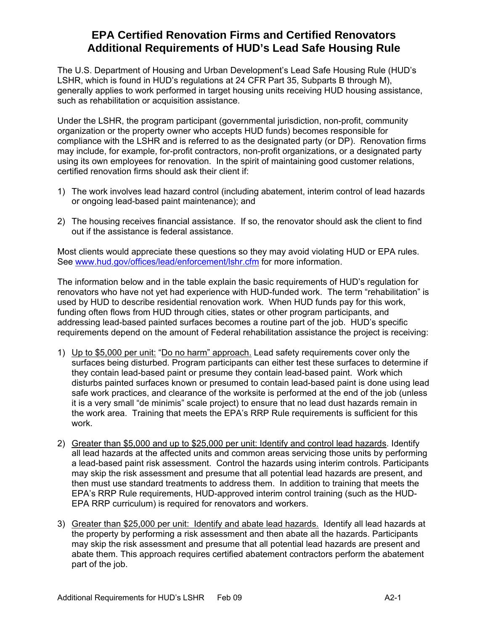The U.S. Department of Housing and Urban Development's Lead Safe Housing Rule (HUD's LSHR, which is found in HUD's regulations at 24 CFR Part 35, Subparts B through M), generally applies to work performed in target housing units receiving HUD housing assistance, such as rehabilitation or acquisition assistance.

Under the LSHR, the program participant (governmental jurisdiction, non-profit, community organization or the property owner who accepts HUD funds) becomes responsible for compliance with the LSHR and is referred to as the designated party (or DP). Renovation firms may include, for example, for-profit contractors, non-profit organizations, or a designated party using its own employees for renovation. In the spirit of maintaining good customer relations, certified renovation firms should ask their client if:

- 1) The work involves lead hazard control (including abatement, interim control of lead hazards or ongoing lead-based paint maintenance); and
- 2) The housing receives financial assistance. If so, the renovator should ask the client to find out if the assistance is federal assistance.

Most clients would appreciate these questions so they may avoid violating HUD or EPA rules. See www.hud.gov/offices/lead/enforcement/lshr.cfm for more information.

The information below and in the table explain the basic requirements of HUD's regulation for renovators who have not yet had experience with HUD-funded work. The term "rehabilitation" is used by HUD to describe residential renovation work. When HUD funds pay for this work, funding often flows from HUD through cities, states or other program participants, and addressing lead-based painted surfaces becomes a routine part of the job. HUD's specific requirements depend on the amount of Federal rehabilitation assistance the project is receiving:

- 1) Up to \$5,000 per unit: "Do no harm" approach. Lead safety requirements cover only the surfaces being disturbed. Program participants can either test these surfaces to determine if they contain lead-based paint or presume they contain lead-based paint. Work which disturbs painted surfaces known or presumed to contain lead-based paint is done using lead safe work practices, and clearance of the worksite is performed at the end of the job (unless it is a very small "de minimis" scale project) to ensure that no lead dust hazards remain in the work area. Training that meets the EPA's RRP Rule requirements is sufficient for this work.
- 2) Greater than \$5,000 and up to \$25,000 per unit: Identify and control lead hazards. Identify all lead hazards at the affected units and common areas servicing those units by performing a lead-based paint risk assessment. Control the hazards using interim controls. Participants may skip the risk assessment and presume that all potential lead hazards are present, and then must use standard treatments to address them. In addition to training that meets the EPA's RRP Rule requirements, HUD-approved interim control training (such as the HUD-EPA RRP curriculum) is required for renovators and workers.
- 3) Greater than \$25,000 per unit: Identify and abate lead hazards. Identify all lead hazards at the property by performing a risk assessment and then abate all the hazards. Participants may skip the risk assessment and presume that all potential lead hazards are present and abate them. This approach requires certified abatement contractors perform the abatement part of the job.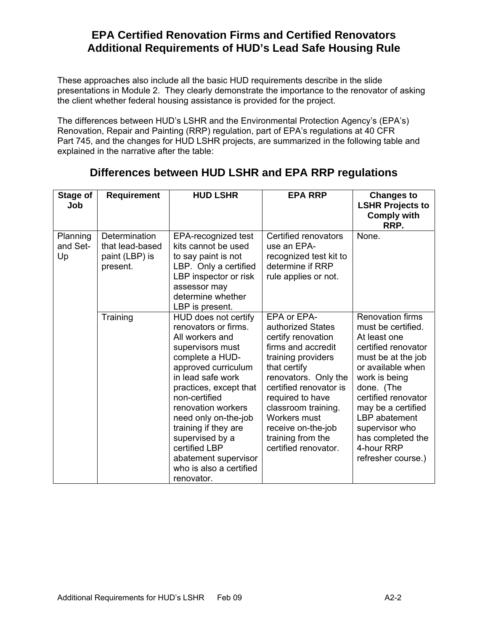These approaches also include all the basic HUD requirements describe in the slide presentations in Module 2. They clearly demonstrate the importance to the renovator of asking the client whether federal housing assistance is provided for the project.

The differences between HUD's LSHR and the Environmental Protection Agency's (EPA's) Renovation, Repair and Painting (RRP) regulation, part of EPA's regulations at 40 CFR Part 745, and the changes for HUD LSHR projects, are summarized in the following table and explained in the narrative after the table:

| Stage of<br>Job            | <b>Requirement</b>                                             | <b>HUD LSHR</b>                                                                                                                                                                                                                                                                                                                                                          | <b>EPA RRP</b>                                                                                                                                                                                                                                                                                     | <b>Changes to</b><br><b>LSHR Projects to</b><br><b>Comply with</b><br>RRP.                                                                                                                                                                                                                              |
|----------------------------|----------------------------------------------------------------|--------------------------------------------------------------------------------------------------------------------------------------------------------------------------------------------------------------------------------------------------------------------------------------------------------------------------------------------------------------------------|----------------------------------------------------------------------------------------------------------------------------------------------------------------------------------------------------------------------------------------------------------------------------------------------------|---------------------------------------------------------------------------------------------------------------------------------------------------------------------------------------------------------------------------------------------------------------------------------------------------------|
| Planning<br>and Set-<br>Up | Determination<br>that lead-based<br>paint (LBP) is<br>present. | EPA-recognized test<br>kits cannot be used<br>to say paint is not<br>LBP. Only a certified<br>LBP inspector or risk<br>assessor may<br>determine whether<br>LBP is present.                                                                                                                                                                                              | Certified renovators<br>use an EPA-<br>recognized test kit to<br>determine if RRP<br>rule applies or not.                                                                                                                                                                                          | None.                                                                                                                                                                                                                                                                                                   |
|                            | Training                                                       | HUD does not certify<br>renovators or firms.<br>All workers and<br>supervisors must<br>complete a HUD-<br>approved curriculum<br>in lead safe work<br>practices, except that<br>non-certified<br>renovation workers<br>need only on-the-job<br>training if they are<br>supervised by a<br>certified LBP<br>abatement supervisor<br>who is also a certified<br>renovator. | EPA or EPA-<br>authorized States<br>certify renovation<br>firms and accredit<br>training providers<br>that certify<br>renovators. Only the<br>certified renovator is<br>required to have<br>classroom training.<br>Workers must<br>receive on-the-job<br>training from the<br>certified renovator. | <b>Renovation firms</b><br>must be certified.<br>At least one<br>certified renovator<br>must be at the job<br>or available when<br>work is being<br>done. (The<br>certified renovator<br>may be a certified<br>LBP abatement<br>supervisor who<br>has completed the<br>4-hour RRP<br>refresher course.) |

#### **Differences between HUD LSHR and EPA RRP regulations**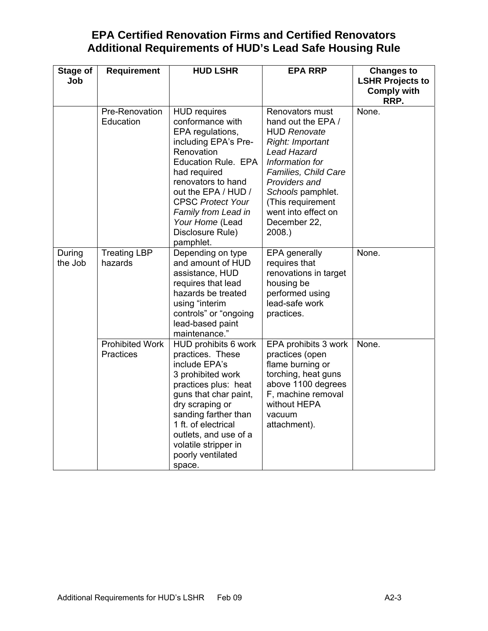| Stage of<br>Job   | <b>Requirement</b>                         | <b>HUD LSHR</b>                                                                                                                                                                                                                                                                                     | <b>EPA RRP</b>                                                                                                                                                                                                                                               | <b>Changes to</b><br><b>LSHR Projects to</b> |
|-------------------|--------------------------------------------|-----------------------------------------------------------------------------------------------------------------------------------------------------------------------------------------------------------------------------------------------------------------------------------------------------|--------------------------------------------------------------------------------------------------------------------------------------------------------------------------------------------------------------------------------------------------------------|----------------------------------------------|
|                   |                                            |                                                                                                                                                                                                                                                                                                     |                                                                                                                                                                                                                                                              | <b>Comply with</b><br>RRP.                   |
|                   | Pre-Renovation<br>Education                | <b>HUD requires</b><br>conformance with<br>EPA regulations,<br>including EPA's Pre-<br>Renovation<br><b>Education Rule. EPA</b><br>had required<br>renovators to hand<br>out the EPA / HUD /<br><b>CPSC Protect Your</b><br>Family from Lead in<br>Your Home (Lead<br>Disclosure Rule)<br>pamphlet. | Renovators must<br>hand out the EPA /<br><b>HUD Renovate</b><br>Right: Important<br><b>Lead Hazard</b><br>Information for<br>Families, Child Care<br>Providers and<br>Schools pamphlet.<br>(This requirement<br>went into effect on<br>December 22,<br>2008. | None.                                        |
| During<br>the Job | <b>Treating LBP</b><br>hazards             | Depending on type<br>and amount of HUD<br>assistance, HUD<br>requires that lead<br>hazards be treated<br>using "interim<br>controls" or "ongoing<br>lead-based paint<br>maintenance."                                                                                                               | <b>EPA</b> generally<br>requires that<br>renovations in target<br>housing be<br>performed using<br>lead-safe work<br>practices.                                                                                                                              | None.                                        |
|                   | <b>Prohibited Work</b><br><b>Practices</b> | HUD prohibits 6 work<br>practices. These<br>include EPA's<br>3 prohibited work<br>practices plus: heat<br>guns that char paint,<br>dry scraping or<br>sanding farther than<br>1 ft. of electrical<br>outlets, and use of a<br>volatile stripper in<br>poorly ventilated<br>space.                   | EPA prohibits 3 work<br>practices (open<br>flame burning or<br>torching, heat guns<br>above 1100 degrees<br>F, machine removal<br>without HEPA<br>vacuum<br>attachment).                                                                                     | None.                                        |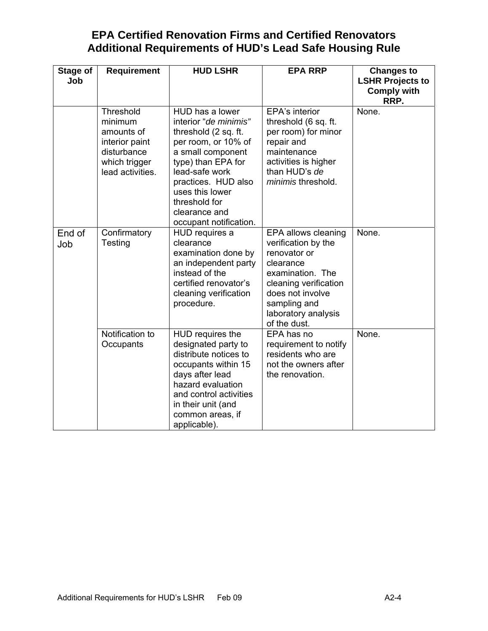| Stage of<br>Job | <b>Requirement</b>                                                                                       | <b>HUD LSHR</b>                                                                                                                                                                                                                                            | <b>EPA RRP</b>                                                                                                                                                                                  | <b>Changes to</b><br><b>LSHR Projects to</b><br><b>Comply with</b><br>RRP. |
|-----------------|----------------------------------------------------------------------------------------------------------|------------------------------------------------------------------------------------------------------------------------------------------------------------------------------------------------------------------------------------------------------------|-------------------------------------------------------------------------------------------------------------------------------------------------------------------------------------------------|----------------------------------------------------------------------------|
|                 | Threshold<br>minimum<br>amounts of<br>interior paint<br>disturbance<br>which trigger<br>lead activities. | HUD has a lower<br>interior "de minimis"<br>threshold (2 sq. ft.<br>per room, or 10% of<br>a small component<br>type) than EPA for<br>lead-safe work<br>practices. HUD also<br>uses this lower<br>threshold for<br>clearance and<br>occupant notification. | EPA's interior<br>threshold (6 sq. ft.<br>per room) for minor<br>repair and<br>maintenance<br>activities is higher<br>than HUD's de<br>minimis threshold.                                       | None.                                                                      |
| End of<br>Job   | Confirmatory<br>Testing                                                                                  | HUD requires a<br>clearance<br>examination done by<br>an independent party<br>instead of the<br>certified renovator's<br>cleaning verification<br>procedure.                                                                                               | EPA allows cleaning<br>verification by the<br>renovator or<br>clearance<br>examination. The<br>cleaning verification<br>does not involve<br>sampling and<br>laboratory analysis<br>of the dust. | None.                                                                      |
|                 | Notification to<br>Occupants                                                                             | HUD requires the<br>designated party to<br>distribute notices to<br>occupants within 15<br>days after lead<br>hazard evaluation<br>and control activities<br>in their unit (and<br>common areas, if<br>applicable).                                        | EPA has no<br>requirement to notify<br>residents who are<br>not the owners after<br>the renovation.                                                                                             | None.                                                                      |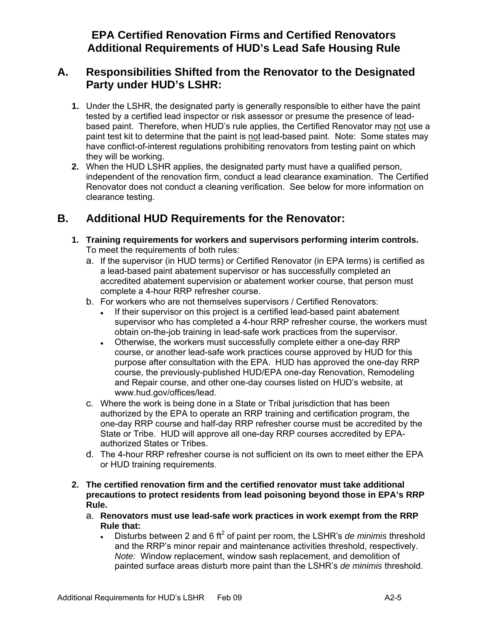#### **A. Responsibilities Shifted from the Renovator to the Designated Party under HUD's LSHR:**

- **1.** Under the LSHR, the designated party is generally responsible to either have the paint tested by a certified lead inspector or risk assessor or presume the presence of leadbased paint. Therefore, when HUD's rule applies, the Certified Renovator may not use a paint test kit to determine that the paint is not lead-based paint. Note: Some states may have conflict-of-interest regulations prohibiting renovators from testing paint on which they will be working.
- **2.** When the HUD LSHR applies, the designated party must have a qualified person, independent of the renovation firm, conduct a lead clearance examination. The Certified Renovator does not conduct a cleaning verification. See below for more information on clearance testing.

#### **B. Additional HUD Requirements for the Renovator:**

- **1. Training requirements for workers and supervisors performing interim controls.**  To meet the requirements of both rules:
	- a. If the supervisor (in HUD terms) or Certified Renovator (in EPA terms) is certified as a lead-based paint abatement supervisor or has successfully completed an accredited abatement supervision or abatement worker course, that person must complete a 4-hour RRP refresher course.
	- b. For workers who are not themselves supervisors / Certified Renovators:
		- If their supervisor on this project is a certified lead-based paint abatement supervisor who has completed a 4-hour RRP refresher course, the workers must obtain on-the-job training in lead-safe work practices from the supervisor.
		- Otherwise, the workers must successfully complete either a one-day RRP course, or another lead-safe work practices course approved by HUD for this purpose after consultation with the EPA. HUD has approved the one-day RRP course, the previously-published HUD/EPA one-day Renovation, Remodeling and Repair course, and other one-day courses listed on HUD's website, at www.hud.gov/offices/lead.
	- c. Where the work is being done in a State or Tribal jurisdiction that has been authorized by the EPA to operate an RRP training and certification program, the one-day RRP course and half-day RRP refresher course must be accredited by the State or Tribe. HUD will approve all one-day RRP courses accredited by EPAauthorized States or Tribes.
	- d. The 4-hour RRP refresher course is not sufficient on its own to meet either the EPA or HUD training requirements.
- **2. The certified renovation firm and the certified renovator must take additional precautions to protect residents from lead poisoning beyond those in EPA's RRP Rule.** 
	- a. **Renovators must use lead-safe work practices in work exempt from the RRP Rule that:** 
		- $\bullet$  Disturbs between 2 and 6 ft<sup>2</sup> of paint per room, the LSHR's *de minimis* threshold and the RRP's minor repair and maintenance activities threshold, respectively. *Note:* Window replacement, window sash replacement, and demolition of painted surface areas disturb more paint than the LSHR's *de minimis* threshold.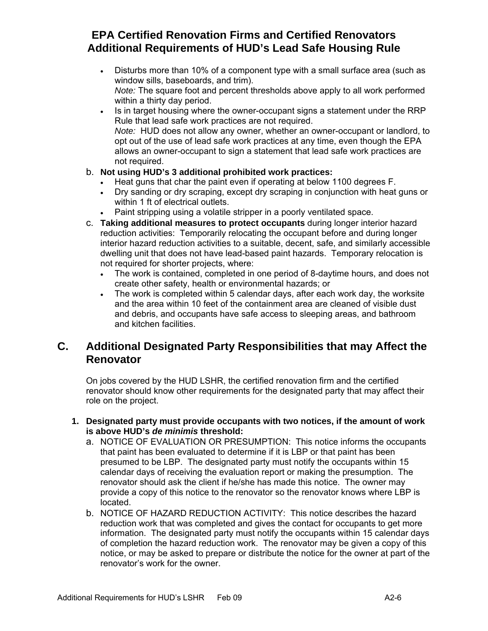- Disturbs more than 10% of a component type with a small surface area (such as window sills, baseboards, and trim). *Note:* The square foot and percent thresholds above apply to all work performed within a thirty day period.
- Is in target housing where the owner-occupant signs a statement under the RRP Rule that lead safe work practices are not required. *Note:* HUD does not allow any owner, whether an owner-occupant or landlord, to opt out of the use of lead safe work practices at any time, even though the EPA allows an owner-occupant to sign a statement that lead safe work practices are not required.
- b. **Not using HUD's 3 additional prohibited work practices:** 
	- Heat guns that char the paint even if operating at below 1100 degrees F.
	- Dry sanding or dry scraping, except dry scraping in conjunction with heat guns or within 1 ft of electrical outlets.
	- Paint stripping using a volatile stripper in a poorly ventilated space.
- c. **Taking additional measures to protect occupants** during longer interior hazard reduction activities: Temporarily relocating the occupant before and during longer interior hazard reduction activities to a suitable, decent, safe, and similarly accessible dwelling unit that does not have lead-based paint hazards. Temporary relocation is not required for shorter projects, where:
	- The work is contained, completed in one period of 8-daytime hours, and does not create other safety, health or environmental hazards; or
	- The work is completed within 5 calendar days, after each work day, the worksite and the area within 10 feet of the containment area are cleaned of visible dust and debris, and occupants have safe access to sleeping areas, and bathroom and kitchen facilities.

#### **C. Additional Designated Party Responsibilities that may Affect the Renovator**

On jobs covered by the HUD LSHR, the certified renovation firm and the certified renovator should know other requirements for the designated party that may affect their role on the project.

- **1. Designated party must provide occupants with two notices, if the amount of work is above HUD's** *de minimis* **threshold:** 
	- a. NOTICE OF EVALUATION OR PRESUMPTION: This notice informs the occupants that paint has been evaluated to determine if it is LBP or that paint has been presumed to be LBP. The designated party must notify the occupants within 15 calendar days of receiving the evaluation report or making the presumption. The renovator should ask the client if he/she has made this notice. The owner may provide a copy of this notice to the renovator so the renovator knows where LBP is located.
	- b. NOTICE OF HAZARD REDUCTION ACTIVITY: This notice describes the hazard reduction work that was completed and gives the contact for occupants to get more information. The designated party must notify the occupants within 15 calendar days of completion the hazard reduction work. The renovator may be given a copy of this notice, or may be asked to prepare or distribute the notice for the owner at part of the renovator's work for the owner.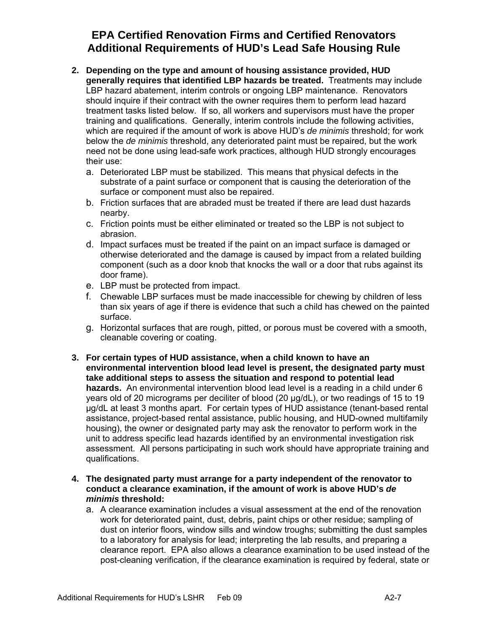- **2. Depending on the type and amount of housing assistance provided, HUD generally requires that identified LBP hazards be treated.** Treatments may include LBP hazard abatement, interim controls or ongoing LBP maintenance. Renovators should inquire if their contract with the owner requires them to perform lead hazard treatment tasks listed below. If so, all workers and supervisors must have the proper training and qualifications. Generally, interim controls include the following activities, which are required if the amount of work is above HUD's *de minimis* threshold; for work below the *de minimis* threshold, any deteriorated paint must be repaired, but the work need not be done using lead-safe work practices, although HUD strongly encourages their use:
	- a. Deteriorated LBP must be stabilized. This means that physical defects in the substrate of a paint surface or component that is causing the deterioration of the surface or component must also be repaired.
	- b. Friction surfaces that are abraded must be treated if there are lead dust hazards nearby.
	- c. Friction points must be either eliminated or treated so the LBP is not subject to abrasion.
	- d. Impact surfaces must be treated if the paint on an impact surface is damaged or otherwise deteriorated and the damage is caused by impact from a related building component (such as a door knob that knocks the wall or a door that rubs against its door frame).
	- e. LBP must be protected from impact.
	- f. Chewable LBP surfaces must be made inaccessible for chewing by children of less than six years of age if there is evidence that such a child has chewed on the painted surface.
	- g. Horizontal surfaces that are rough, pitted, or porous must be covered with a smooth, cleanable covering or coating.
- **3. For certain types of HUD assistance, when a child known to have an environmental intervention blood lead level is present, the designated party must take additional steps to assess the situation and respond to potential lead hazards.** An environmental intervention blood lead level is a reading in a child under 6 years old of 20 micrograms per deciliter of blood (20 μg/dL), or two readings of 15 to 19 μg/dL at least 3 months apart. For certain types of HUD assistance (tenant-based rental assistance, project-based rental assistance, public housing, and HUD-owned multifamily housing), the owner or designated party may ask the renovator to perform work in the unit to address specific lead hazards identified by an environmental investigation risk assessment. All persons participating in such work should have appropriate training and qualifications.
- **4. The designated party must arrange for a party independent of the renovator to conduct a clearance examination, if the amount of work is above HUD's** *de minimis* **threshold:** 
	- a. A clearance examination includes a visual assessment at the end of the renovation work for deteriorated paint, dust, debris, paint chips or other residue; sampling of dust on interior floors, window sills and window troughs; submitting the dust samples to a laboratory for analysis for lead; interpreting the lab results, and preparing a clearance report. EPA also allows a clearance examination to be used instead of the post-cleaning verification, if the clearance examination is required by federal, state or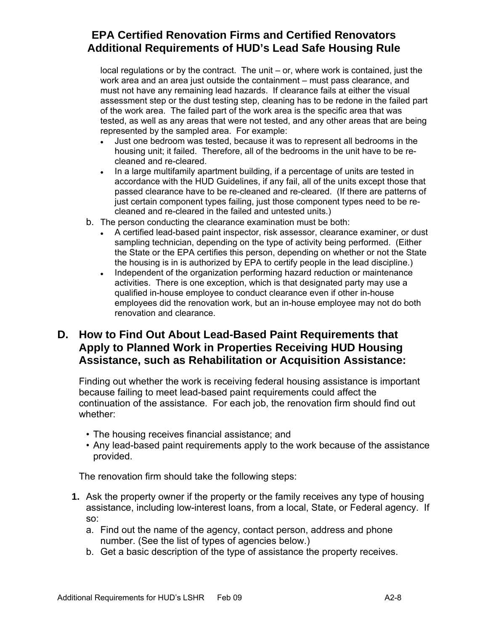local regulations or by the contract. The unit – or, where work is contained, just the work area and an area just outside the containment – must pass clearance, and must not have any remaining lead hazards. If clearance fails at either the visual assessment step or the dust testing step, cleaning has to be redone in the failed part of the work area. The failed part of the work area is the specific area that was tested, as well as any areas that were not tested, and any other areas that are being represented by the sampled area. For example:

- Just one bedroom was tested, because it was to represent all bedrooms in the housing unit; it failed. Therefore, all of the bedrooms in the unit have to be recleaned and re-cleared.
- In a large multifamily apartment building, if a percentage of units are tested in accordance with the HUD Guidelines, if any fail, all of the units except those that passed clearance have to be re-cleaned and re-cleared. (If there are patterns of just certain component types failing, just those component types need to be recleaned and re-cleared in the failed and untested units.)
- b. The person conducting the clearance examination must be both:
	- A certified lead-based paint inspector, risk assessor, clearance examiner, or dust sampling technician, depending on the type of activity being performed. (Either the State or the EPA certifies this person, depending on whether or not the State the housing is in is authorized by EPA to certify people in the lead discipline.)
	- Independent of the organization performing hazard reduction or maintenance activities. There is one exception, which is that designated party may use a qualified in-house employee to conduct clearance even if other in-house employees did the renovation work, but an in-house employee may not do both renovation and clearance.

#### **D. How to Find Out About Lead-Based Paint Requirements that Apply to Planned Work in Properties Receiving HUD Housing Assistance, such as Rehabilitation or Acquisition Assistance:**

Finding out whether the work is receiving federal housing assistance is important because failing to meet lead-based paint requirements could affect the continuation of the assistance. For each job, the renovation firm should find out whether:

- The housing receives financial assistance; and
- Any lead-based paint requirements apply to the work because of the assistance provided.

The renovation firm should take the following steps:

- **1.** Ask the property owner if the property or the family receives any type of housing assistance, including low-interest loans, from a local, State, or Federal agency. If so:
	- a. Find out the name of the agency, contact person, address and phone number. (See the list of types of agencies below.)
	- b. Get a basic description of the type of assistance the property receives.